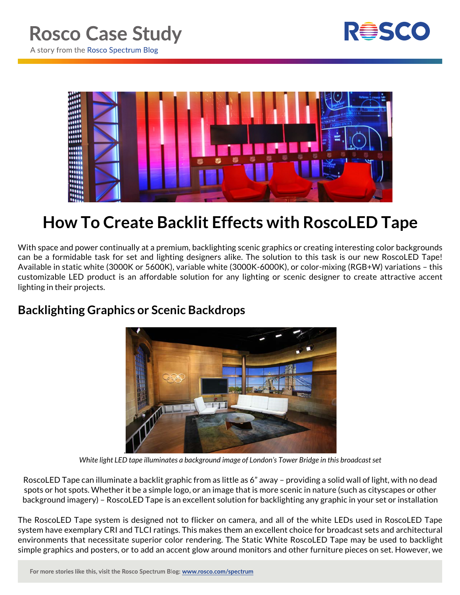



## **How To Create Backlit Effects with RoscoLED Tape**

With space and power continually at a premium, backlighting scenic graphics or creating interesting color backgrounds can be a formidable task for set and lighting designers alike. The solution to this task is our new RoscoLED Tape! Available in static white (3000K or 5600K), variable white (3000K-6000K), or color-mixing (RGB+W) variations – this customizable LED product is an affordable solution for any lighting or scenic designer to create attractive accent lighting in their projects.

## **Backlighting Graphics or Scenic Backdrops**



*White light LED tape illuminates a background image of London's Tower Bridge in this broadcast set*

RoscoLED Tape can illuminate a backlit graphic from as little as 6" away – providing a solid wall of light, with no dead spots or hot spots. Whether it be a simple logo, or an image that is more scenic in nature (such as cityscapes or other background imagery) – RoscoLED Tape is an excellent solution for backlighting any graphic in your set or installation

The RoscoLED Tape system is designed not to flicker on camera, and all of the white LEDs used in RoscoLED Tape system have exemplary CRI and TLCI ratings. This makes them an excellent choice for broadcast sets and architectural environments that necessitate superior color rendering. The Static White RoscoLED Tape may be used to backlight simple graphics and posters, or to add an accent glow around monitors and other furniture pieces on set. However, we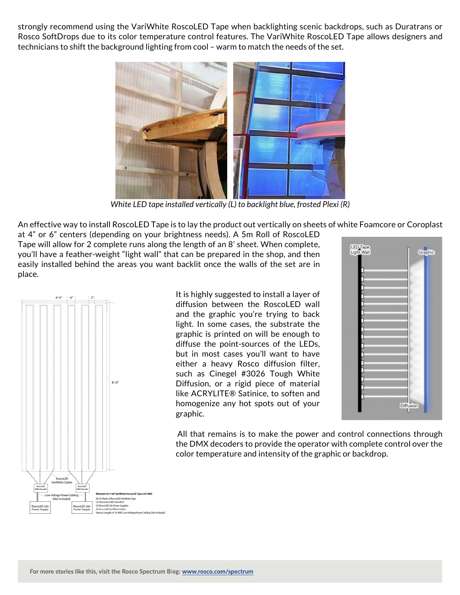strongly recommend using the VariWhite RoscoLED Tape when backlighting scenic backdrops, such as Duratrans or Rosco SoftDrops due to its color temperature control features. The VariWhite RoscoLED Tape allows designers and technicians to shift the background lighting from cool – warm to match the needs of the set.



*White LED tape installed vertically (L) to backlight blue, frosted Plexi (R)*

An effective way to install RoscoLED Tape is to lay the product out vertically on sheets of white Foamcore or Coroplast

at 4" or 6" centers (depending on your brightness needs). A 5m Roll of RoscoLED Tape will allow for 2 complete runs along the length of an 8' sheet. When complete, you'll have a feather-weight "light wall" that can be prepared in the shop, and then easily installed behind the areas you want backlit once the walls of the set are in place.



It is highly suggested to install a layer of diffusion between the RoscoLED wall and the graphic you're trying to back light. In some cases, the substrate the graphic is printed on will be enough to diffuse the point-sources of the LEDs, but in most cases you'll want to have either a heavy Rosco diffusion filter, such as Cinegel #3026 Tough White Diffusion, or a rigid piece of material like ACRYLITE® Satinice, to soften and homogenize any hot spots out of your graphic.



All that remains is to make the power and control connections through the DMX decoders to provide the operator with complete control over the color temperature and intensity of the graphic or backdrop.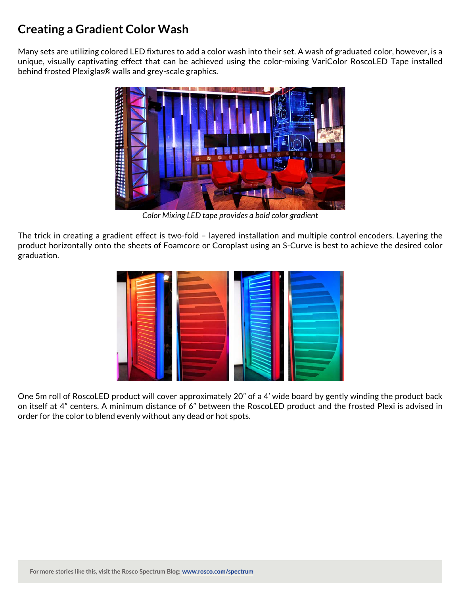## **Creating a Gradient Color Wash**

Many sets are utilizing colored LED fixtures to add a color wash into their set. A wash of graduated color, however, is a unique, visually captivating effect that can be achieved using the color-mixing VariColor RoscoLED Tape installed behind frosted Plexiglas® walls and grey-scale graphics.



*Color Mixing LED tape provides a bold color gradient*

The trick in creating a gradient effect is two-fold – layered installation and multiple control encoders. Layering the product horizontally onto the sheets of Foamcore or Coroplast using an S-Curve is best to achieve the desired color graduation.



One 5m roll of RoscoLED product will cover approximately 20" of a 4' wide board by gently winding the product back on itself at 4" centers. A minimum distance of 6" between the RoscoLED product and the frosted Plexi is advised in order for the color to blend evenly without any dead or hot spots.